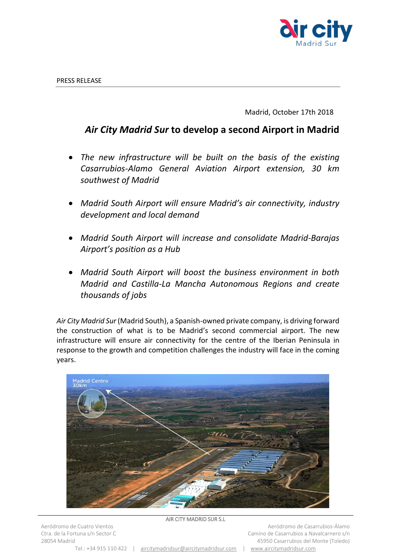

Madrid, October 17th 2018

## *Air City Madrid Sur* **to develop a second Airport in Madrid**

- *The new infrastructure will be built on the basis of the existing Casarrubios-Alamo General Aviation Airport extension, 30 km southwest of Madrid*
- *Madrid South Airport will ensure Madrid's air connectivity, industry development and local demand*
- *Madrid South Airport will increase and consolidate Madrid-Barajas Airport's position as a Hub*
- *Madrid South Airport will boost the business environment in both Madrid and Castilla-La Mancha Autonomous Regions and create thousands of jobs*

*Air City Madrid Sur* (Madrid South), a Spanish-owned private company, is driving forward the construction of what is to be Madrid's second commercial airport. The new infrastructure will ensure air connectivity for the centre of the Iberian Peninsula in response to the growth and competition challenges the industry will face in the coming years.



## AIR CITY MADRID SUR S.L

Aeródromo de Cuatro Vientos Ctra. de la Fortuna s/n Sector C 28054 Madrid

Tel.: +34 915 110 422 | [aircitymadridsur@aircitymadridsur.com](mailto:aircitymadridsur@aircitymadridsur.com) | [www.aircitymadridsur.com](http://www.aircitymadridsur.com/)

Aeródromo de Casarrubios-Álamo Camino de Casarrubios a Navalcarnero s/n 45950 Casarrubios del Monte (Toledo)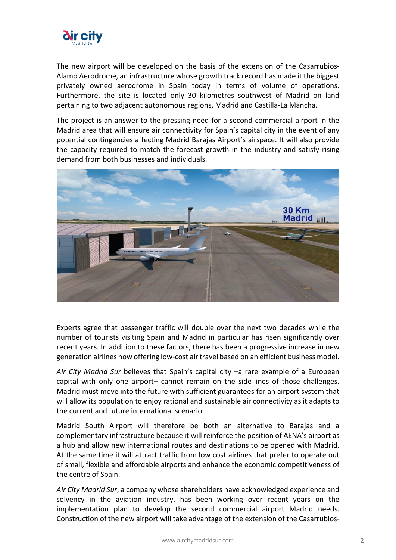

The new airport will be developed on the basis of the extension of the Casarrubios-Alamo Aerodrome, an infrastructure whose growth track record has made it the biggest privately owned aerodrome in Spain today in terms of volume of operations. Furthermore, the site is located only 30 kilometres southwest of Madrid on land pertaining to two adjacent autonomous regions, Madrid and Castilla-La Mancha.

The project is an answer to the pressing need for a second commercial airport in the Madrid area that will ensure air connectivity for Spain's capital city in the event of any potential contingencies affecting Madrid Barajas Airport's airspace. It will also provide the capacity required to match the forecast growth in the industry and satisfy rising demand from both businesses and individuals.



Experts agree that passenger traffic will double over the next two decades while the number of tourists visiting Spain and Madrid in particular has risen significantly over recent years. In addition to these factors, there has been a progressive increase in new generation airlines now offering low-cost air travel based on an efficient business model.

*Air City Madrid Sur* believes that Spain's capital city –a rare example of a European capital with only one airport– cannot remain on the side-lines of those challenges. Madrid must move into the future with sufficient guarantees for an airport system that will allow its population to enjoy rational and sustainable air connectivity as it adapts to the current and future international scenario.

Madrid South Airport will therefore be both an alternative to Barajas and a complementary infrastructure because it will reinforce the position of AENA's airport as a hub and allow new international routes and destinations to be opened with Madrid. At the same time it will attract traffic from low cost airlines that prefer to operate out of small, flexible and affordable airports and enhance the economic competitiveness of the centre of Spain.

*Air City Madrid Sur*, a company whose shareholders have acknowledged experience and solvency in the aviation industry, has been working over recent years on the implementation plan to develop the second commercial airport Madrid needs. Construction of the new airport will take advantage of the extension of the Casarrubios-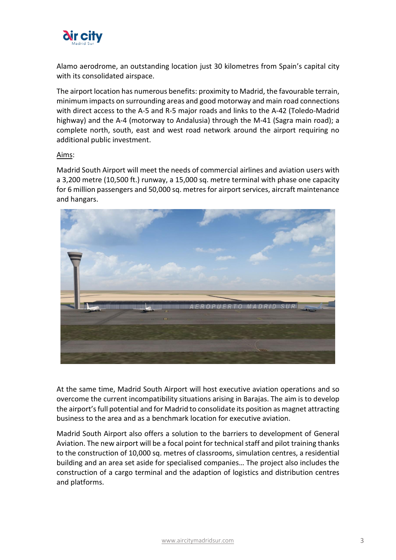

Alamo aerodrome, an outstanding location just 30 kilometres from Spain's capital city with its consolidated airspace.

The airport location has numerous benefits: proximity to Madrid, the favourable terrain, minimum impacts on surrounding areas and good motorway and main road connections with direct access to the A-5 and R-5 major roads and links to the A-42 (Toledo-Madrid highway) and the A-4 (motorway to Andalusia) through the M-41 (Sagra main road); a complete north, south, east and west road network around the airport requiring no additional public investment.

## Aims:

Madrid South Airport will meet the needs of commercial airlines and aviation users with a 3,200 metre (10,500 ft.) runway, a 15,000 sq. metre terminal with phase one capacity for 6 million passengers and 50,000 sq. metres for airport services, aircraft maintenance and hangars.



At the same time, Madrid South Airport will host executive aviation operations and so overcome the current incompatibility situations arising in Barajas. The aim is to develop the airport'sfull potential and for Madrid to consolidate its position as magnet attracting business to the area and as a benchmark location for executive aviation.

Madrid South Airport also offers a solution to the barriers to development of General Aviation. The new airport will be a focal point for technical staff and pilot training thanks to the construction of 10,000 sq. metres of classrooms, simulation centres, a residential building and an area set aside for specialised companies… The project also includes the construction of a cargo terminal and the adaption of logistics and distribution centres and platforms.